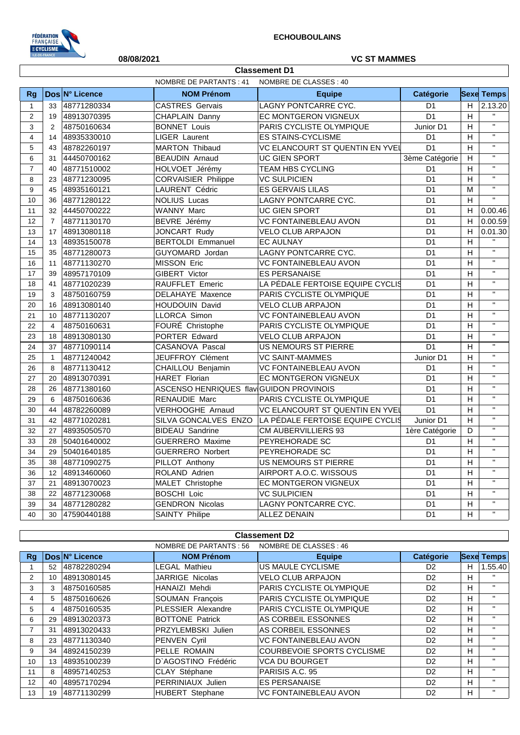

## **08/08/2021 VC ST MAMMES**

|                |                                                         |                | <b>Classement D1</b>                    |                                                       |                  |    |                    |  |  |  |  |
|----------------|---------------------------------------------------------|----------------|-----------------------------------------|-------------------------------------------------------|------------------|----|--------------------|--|--|--|--|
|                | <b>NOMBRE DE PARTANTS: 41</b><br>NOMBRE DE CLASSES : 40 |                |                                         |                                                       |                  |    |                    |  |  |  |  |
| <b>Rg</b>      |                                                         | Dos N° Licence | <b>NOM Prénom</b>                       | <b>Equipe</b>                                         | <b>Catégorie</b> |    | <b>Sexe Temps</b>  |  |  |  |  |
| $\mathbf{1}$   | 33                                                      | 48771280334    | <b>CASTRES Gervais</b>                  | LAGNY PONTCARRE CYC.                                  | D <sub>1</sub>   | H. | 2.13.20            |  |  |  |  |
| $\overline{2}$ | 19                                                      | 48913070395    | CHAPLAIN Danny                          | EC MONTGERON VIGNEUX                                  | D <sub>1</sub>   | H  | $\mathbf{H}$       |  |  |  |  |
| 3              | 2                                                       | 48750160634    | <b>BONNET Louis</b>                     | PARIS CYCLISTE OLYMPIQUE                              | Junior D1        | H  | $\mathbf{H}$       |  |  |  |  |
| 4              | 14                                                      | 48935330010    | LIGER Laurent                           | <b>ES STAINS-CYCLISME</b>                             | D <sub>1</sub>   |    | $\mathbf{H}$       |  |  |  |  |
| 5              | 43                                                      | 48782260197    | MARTON Thibaud                          | VC ELANCOURT ST QUENTIN EN YVEI                       | D <sub>1</sub>   | H  | $\mathbf{H}$       |  |  |  |  |
| 6              | 31                                                      | 44450700162    | <b>BEAUDIN Arnaud</b>                   | <b>UC GIEN SPORT</b>                                  | 3ème Catégorie   | H  | $\mathbf{H}$       |  |  |  |  |
| $\overline{7}$ | 40                                                      | 48771510002    | HOLVOET Jérémy                          | <b>TEAM HBS CYCLING</b>                               | D <sub>1</sub>   | H  | $\mathbf{u}$       |  |  |  |  |
| 8              | 23                                                      | 48771230095    | <b>CORVAISIER Philippe</b>              | <b>VC SULPICIEN</b>                                   | D <sub>1</sub>   | H  | $\mathbf{H}$       |  |  |  |  |
| 9              | 45                                                      | 48935160121    | LAURENT Cédric                          | <b>ES GERVAIS LILAS</b>                               | D <sub>1</sub>   | M  | $\mathbf{H}$       |  |  |  |  |
| 10             | 36                                                      | 48771280122    | <b>NOLIUS Lucas</b>                     | LAGNY PONTCARRE CYC.                                  | D <sub>1</sub>   | H  | $\mathbf{u}$       |  |  |  |  |
| 11             | 32                                                      | 44450700222    | <b>WANNY Marc</b>                       | <b>UC GIEN SPORT</b>                                  | D <sub>1</sub>   | H. | 0.00.46            |  |  |  |  |
| 12             | $\overline{7}$                                          | 48771130170    | BEVRE Jérémy                            | VC FONTAINEBLEAU AVON                                 | D <sub>1</sub>   | H  | 0.00.59            |  |  |  |  |
| 13             | 17                                                      | 48913080118    | <b>JONCART Rudy</b>                     | <b>VELO CLUB ARPAJON</b>                              | D <sub>1</sub>   | H  | 0.01.30            |  |  |  |  |
| 14             | 13                                                      | 48935150078    | <b>BERTOLDI Emmanuel</b>                | <b>EC AULNAY</b>                                      | D <sub>1</sub>   | H  | $\mathbf{H}$       |  |  |  |  |
| 15             | 35                                                      | 48771280073    | GUYOMARD Jordan                         | LAGNY PONTCARRE CYC.                                  | D <sub>1</sub>   | H  | $\mathbf{H}$       |  |  |  |  |
| 16             | 11                                                      | 48771130270    | MISSON Eric                             | <b>VC FONTAINEBLEAU AVON</b>                          | D <sub>1</sub>   | H  | $\mathbf{u}$       |  |  |  |  |
| 17             | 39                                                      | 48957170109    | GIBERT Victor                           | <b>ES PERSANAISE</b><br>D <sub>1</sub>                |                  | H  | $\mathbf{u}$       |  |  |  |  |
| 18             | 41                                                      | 48771020239    | RAUFFLET Emeric                         | LA PÉDALE FERTOISE EQUIPE CYCLIS<br>D <sub>1</sub>    |                  | H  | $\mathbf{H}$       |  |  |  |  |
| 19             | 3                                                       | 48750160759    | DELAHAYE Maxence                        | D <sub>1</sub><br>PARIS CYCLISTE OLYMPIQUE            |                  | H  | $\mathbf{H}$       |  |  |  |  |
| 20             | 16                                                      | 48913080140    | <b>HOUDOUIN David</b>                   | <b>VELO CLUB ARPAJON</b>                              | D <sub>1</sub>   | H  | $\mathbf{u}$       |  |  |  |  |
| 21             | 10                                                      | 48771130207    | LLORCA Simon                            | <b>VC FONTAINEBLEAU AVON</b>                          | D <sub>1</sub>   | H  | $\mathbf{H}$       |  |  |  |  |
| 22             | $\overline{4}$                                          | 48750160631    | FOURÉ Christophe                        | PARIS CYCLISTE OLYMPIQUE                              | D <sub>1</sub>   | H  | $\mathbf{H}$       |  |  |  |  |
| 23             | 18                                                      | 48913080130    | PORTER Edward                           | <b>VELO CLUB ARPAJON</b>                              | D <sub>1</sub>   | H  | $\mathbf{H}$       |  |  |  |  |
| 24             | 37                                                      | 48771090114    | CASANOVA Pascal                         | US NEMOURS ST PIERRE                                  | D <sub>1</sub>   | H  | $\mathbf{H}$       |  |  |  |  |
| 25             | $\mathbf{1}$                                            | 48771240042    | JEUFFROY Clément                        | <b>VC SAINT-MAMMES</b>                                | Junior D1        | H  | $\mathbf{H}$       |  |  |  |  |
| 26             | 8                                                       | 48771130412    | CHAILLOU Benjamin                       | <b>VC FONTAINEBLEAU AVON</b>                          | D <sub>1</sub>   | H  | $\mathbf{H}$       |  |  |  |  |
| 27             | 20                                                      | 48913070391    | HARET Florian                           | EC MONTGERON VIGNEUX                                  | D <sub>1</sub>   | H  | $\mathbf{H}$       |  |  |  |  |
| 28             | 26                                                      | 48771380160    | ASCENSO HENRIQUES flav GUIDON PROVINOIS |                                                       | D <sub>1</sub>   | H  | $\mathbf{H}$       |  |  |  |  |
| 29             | 6                                                       | 48750160636    | <b>RENAUDIE Marc</b>                    | PARIS CYCLISTE OLYMPIQUE                              | D <sub>1</sub>   | H  | $\mathbf{H}$       |  |  |  |  |
| 30             | 44                                                      | 48782260089    | VERHOOGHE Arnaud                        | VC ELANCOURT ST QUENTIN EN YVEI                       | D <sub>1</sub>   | H  | $\mathbf{H}$       |  |  |  |  |
| 31             | 42                                                      | 48771020281    |                                         | SILVA GONCALVES ENZO LA PÉDALE FERTOISE EQUIPE CYCLIS | Junior D1        | H  | $\mathbf{H}$       |  |  |  |  |
| 32             | 27                                                      | 48935050570    | <b>BIDEAU Sandrine</b>                  | <b>CM AUBERVILLIERS 93</b>                            | 1ère Catégorie   | D  | $\mathbf{H}$       |  |  |  |  |
| 33             | 28                                                      | 50401640002    | <b>GUERRERO Maxime</b>                  | PEYREHORADE SC                                        | D <sub>1</sub>   | H  | $\mathbf{H}$       |  |  |  |  |
| 34             | 29                                                      | 50401640185    | <b>GUERRERO Norbert</b>                 | PEYREHORADE SC                                        | D <sub>1</sub>   | H  | $\mathbf{H}$       |  |  |  |  |
| 35             | 38                                                      | 48771090275    | PILLOT Anthony                          | US NEMOURS ST PIERRE                                  | D1               | н  | $\pmb{\mathsf{H}}$ |  |  |  |  |
| 36             |                                                         | 12 48913460060 | ROLAND Adrien                           | AIRPORT A.O.C. WISSOUS                                | D <sub>1</sub>   | H  |                    |  |  |  |  |
| 37             | 21                                                      | 48913070023    | MALET Christophe                        | EC MONTGERON VIGNEUX                                  | D1               | н  | $\mathbf{H}$       |  |  |  |  |
| 38             |                                                         | 22 48771230068 | <b>BOSCHI Loic</b>                      | <b>VC SULPICIEN</b>                                   | D <sub>1</sub>   | H  | $\mathbf{H}$       |  |  |  |  |
| 39             |                                                         | 34 48771280282 | <b>GENDRON Nicolas</b>                  | LAGNY PONTCARRE CYC.                                  | D <sub>1</sub>   | н  | $\mathbf{H}$       |  |  |  |  |
| 40             |                                                         | 30 47590440188 | <b>SAINTY Philipe</b>                   | ALLEZ DENAIN                                          | D1               | H  | $\mathbf{H}$       |  |  |  |  |

| <b>Classement D2</b> |                                                   |                |                        |                                   |                |    |                   |  |  |
|----------------------|---------------------------------------------------|----------------|------------------------|-----------------------------------|----------------|----|-------------------|--|--|
|                      | NOMBRE DE CLASSES : 46<br>NOMBRE DE PARTANTS : 56 |                |                        |                                   |                |    |                   |  |  |
| Ra                   |                                                   | Dos N° Licence | <b>NOM Prénom</b>      | <b>Equipe</b>                     | Catégorie      |    | <b>Sexe Temps</b> |  |  |
|                      | 52                                                | 48782280294    | LEGAL Mathieu          | US MAULE CYCLISME                 | D <sub>2</sub> | H. | 1.55.40           |  |  |
| 2                    | 10                                                | 48913080145    | <b>JARRIGE Nicolas</b> | <b>VELO CLUB ARPAJON</b>          | D <sub>2</sub> | H  | $\mathbf{H}$      |  |  |
| 3                    | 3                                                 | 48750160585    | HANAIZI Mehdi          | PARIS CYCLISTE OLYMPIQUE          | D <sub>2</sub> | H. | $\mathbf{H}$      |  |  |
| 4                    | 5                                                 | 48750160626    | SOUMAN François        | <b>PARIS CYCLISTE OLYMPIQUE</b>   | D <sub>2</sub> | H  |                   |  |  |
| 5                    |                                                   | 48750160535    | PLESSIER Alexandre     | PARIS CYCLISTE OLYMPIQUE          | D <sub>2</sub> | H  | $\mathbf{H}$      |  |  |
| 6                    | 29                                                | 48913020373    | <b>BOTTONE Patrick</b> | AS CORBEIL ESSONNES               | D <sub>2</sub> | H. | $\mathbf{H}$      |  |  |
| $\overline{7}$       | 31                                                | 48913020433    | PRZYLEMBSKI Julien     | AS CORBEIL ESSONNES               | D <sub>2</sub> | H. |                   |  |  |
| 8                    | 23                                                | 48771130340    | <b>PENVEN Cyril</b>    | <b>VC FONTAINEBLEAU AVON</b>      | D <sub>2</sub> | H. | $\mathbf{H}$      |  |  |
| 9                    | 34                                                | 48924150239    | PELLE ROMAIN           | <b>COURBEVOIE SPORTS CYCLISME</b> | D <sub>2</sub> | H. | $\mathbf{H}$      |  |  |
| 10                   | 13                                                | 48935100239    | D'AGOSTINO Frédéric    | <b>VCA DU BOURGET</b>             | D <sub>2</sub> | H. | $\mathbf{H}$      |  |  |
| 11                   | 8                                                 | 48957140253    | CLAY Stéphane          | PARISIS A.C. 95                   | D <sub>2</sub> | H. | $\mathbf{H}$      |  |  |
| 12                   | 40                                                | 48957170294    | PERRINIAUX Julien      | <b>ES PERSANAISE</b>              | D <sub>2</sub> | H. | $\mathbf{H}$      |  |  |
| 13                   | 19                                                | 48771130299    | <b>HUBERT</b> Stephane | <b>VC FONTAINEBLEAU AVON</b>      | D <sub>2</sub> | H. | $\mathbf{H}$      |  |  |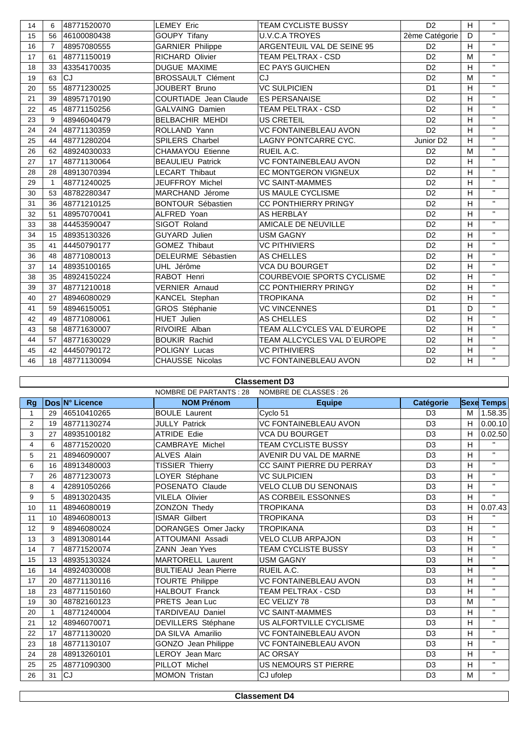| 14 | 6              | 48771520070 | <b>LEMEY Eric</b>            | <b>TEAM CYCLISTE BUSSY</b>   | D <sub>2</sub> |                         | $\mathbf{H}$ |
|----|----------------|-------------|------------------------------|------------------------------|----------------|-------------------------|--------------|
| 15 | 56             | 46100080438 | <b>GOUPY Tifany</b>          | <b>U.V.C.A TROYES</b>        | 2ème Catégorie |                         |              |
| 16 | $\overline{7}$ | 48957080555 | GARNIER Philippe             | ARGENTEUIL VAL DE SEINE 95   | D <sub>2</sub> |                         | $\mathbf{H}$ |
| 17 | 61             | 48771150019 | <b>RICHARD Olivier</b>       | TEAM PELTRAX - CSD           | D <sub>2</sub> | M                       | $\mathbf{H}$ |
| 18 | 33             | 43354170035 | <b>DUGUE MAXIME</b>          | <b>EC PAYS GUICHEN</b>       | D <sub>2</sub> | H                       | $\mathbf{H}$ |
| 19 | 63             | <b>CJ</b>   | <b>BROSSAULT Clément</b>     | CJ                           | D <sub>2</sub> | M                       | $\mathbf{H}$ |
| 20 | 55             | 48771230025 | JOUBERT Bruno                | <b>VC SULPICIEN</b>          | D <sub>1</sub> | H                       | $\mathbf{H}$ |
| 21 | 39             | 48957170190 | <b>COURTIADE</b> Jean Claude | <b>ES PERSANAISE</b>         | D <sub>2</sub> | H                       | $\mathbf{H}$ |
| 22 | 45             | 48771150256 | <b>GALVAING Damien</b>       | <b>TEAM PELTRAX - CSD</b>    | D <sub>2</sub> | H                       | $\mathbf{H}$ |
| 23 | 9              | 48946040479 | <b>BELBACHIR MEHDI</b>       | US CRETEIL                   | D <sub>2</sub> | H                       | $\mathbf{H}$ |
| 24 | 24             | 48771130359 | ROLLAND Yann                 | <b>VC FONTAINEBLEAU AVON</b> | D <sub>2</sub> | H                       | $\mathbf{H}$ |
| 25 | 44             | 48771280204 | <b>SPILERS Charbel</b>       | LAGNY PONTCARRE CYC.         | Junior D2      | H                       | $\mathbf{H}$ |
| 26 | 62             | 48924030033 | <b>CHAMAYOU Etienne</b>      | RUEIL A.C.                   | D <sub>2</sub> | M                       | $\mathbf{H}$ |
| 27 | 17             | 48771130064 | <b>BEAULIEU Patrick</b>      | <b>VC FONTAINEBLEAU AVON</b> | D <sub>2</sub> | H                       | $\mathbf{H}$ |
| 28 | 28             | 48913070394 | <b>LECART Thibaut</b>        | <b>EC MONTGERON VIGNEUX</b>  | D <sub>2</sub> | H                       | $\mathbf{H}$ |
| 29 | $\mathbf{1}$   | 48771240025 | JEUFFROY Michel              | <b>VC SAINT-MAMMES</b>       | D <sub>2</sub> | H                       | $\mathbf{H}$ |
| 30 | 53             | 48782280347 | MARCHAND Jérome              | US MAULE CYCLISME            | D <sub>2</sub> | H                       | $\mathbf{H}$ |
| 31 | 36             | 48771210125 | <b>BONTOUR Sébastien</b>     | <b>CC PONTHIERRY PRINGY</b>  | D <sub>2</sub> | H                       | $\mathbf{H}$ |
| 32 | 51             | 48957070041 | ALFRED Yoan                  | AS HERBLAY                   | D <sub>2</sub> | H                       | $\mathbf{H}$ |
| 33 | 38             | 44453590047 | SIGOT Roland                 | AMICALE DE NEUVILLE          | D <sub>2</sub> | H                       | $\mathbf{H}$ |
| 34 | 15             | 48935130326 | <b>GUYARD</b> Julien         | <b>USM GAGNY</b>             | D <sub>2</sub> | H                       | $\mathbf{H}$ |
| 35 | 41             | 44450790177 | <b>GOMEZ Thibaut</b>         | <b>VC PITHIVIERS</b>         | D <sub>2</sub> | H                       | $\mathbf{H}$ |
| 36 | 48             | 48771080013 | DELEURME Sébastien           | AS CHELLES                   | D <sub>2</sub> | H                       | $\mathbf{H}$ |
| 37 | 14             | 48935100165 | UHL Jérôme                   | <b>VCA DU BOURGET</b>        | D <sub>2</sub> | H                       | $\mathbf{H}$ |
| 38 | 35             | 48924150224 | RABOT Henri                  | COURBEVOIE SPORTS CYCLISME   | D <sub>2</sub> | H                       | $\mathbf{H}$ |
| 39 | 37             | 48771210018 | <b>VERNIER Arnaud</b>        | CC PONTHIERRY PRINGY         | D <sub>2</sub> | H                       | $\mathbf{H}$ |
| 40 | 27             | 48946080029 | KANCEL Stephan               | <b>TROPIKANA</b>             | D <sub>2</sub> | H                       | $\mathbf{H}$ |
| 41 | 59             | 48946150051 | GROS Stéphanie               | <b>VC VINCENNES</b>          | D <sub>1</sub> | D                       | $\mathbf{H}$ |
| 42 | 49             | 48771080061 | <b>HUET Julien</b>           | AS CHELLES                   | D <sub>2</sub> | H                       | $\mathbf{H}$ |
| 43 | 58             | 48771630007 | RIVOIRE Alban                | TEAM ALLCYCLES VAL D`EUROPE  | D <sub>2</sub> | H                       | $\mathbf{H}$ |
| 44 | 57             | 48771630029 | <b>BOUKIR Rachid</b>         | TEAM ALLCYCLES VAL D'EUROPE  | D <sub>2</sub> | H                       | $\mathbf{H}$ |
| 45 | 42             | 44450790172 | <b>POLIGNY Lucas</b>         | <b>VC PITHIVIERS</b>         | D <sub>2</sub> | $\overline{\mathsf{H}}$ | $\mathbf{H}$ |
| 46 | 18             | 48771130094 | <b>CHAUSSE Nicolas</b>       | VC FONTAINEBLEAU AVON        | D <sub>2</sub> | H                       | $\mathbf{H}$ |

## **Classement D3**

| Dos N° Licence<br><b>NOM Prénom</b><br>Catégorie<br><b>Sexe Temps</b><br>Rq<br><b>Equipe</b><br>46510410265<br><b>BOULE Laurent</b><br>Cyclo 51<br>D <sub>3</sub><br>29<br>м<br>1<br>2<br><b>VC FONTAINEBLEAU AVON</b><br>D <sub>3</sub><br>48771130274<br><b>JULLY Patrick</b><br>н<br>19<br>3<br><b>ATRIDE Edie</b><br>VCA DU BOURGET<br>D <sub>3</sub><br>H.<br>48935100182<br>27<br>$\mathbf{u}$<br>H<br><b>CAMBRAYE Michel</b><br>TEAM CYCLISTE BUSSY<br>D <sub>3</sub><br>$\overline{4}$<br>48771520020<br>6<br>$\mathbf{H}$<br>H<br>5<br><b>ALVES Alain</b><br>AVENIR DU VAL DE MARNE<br>D <sub>3</sub><br>48946090007<br>21<br>$\mathbf{H}$<br>6<br>CC SAINT PIERRE DU PERRAY<br>D <sub>3</sub><br>H<br>48913480003<br><b>TISSIER Thierry</b><br>16<br>$\mathbf{H}$<br>H<br>D <sub>3</sub><br>$\overline{7}$<br>LOYER Stéphane<br>VC SULPICIEN<br>26<br>48771230073<br>$\mathbf{H}$<br>VELO CLUB DU SENONAIS<br>D <sub>3</sub><br>н<br>8<br>POSENATO Claude<br>42891050266<br>4<br>$\mathbf{H}$<br><b>VILELA Olivier</b><br>AS CORBEIL ESSONNES<br>H<br>9<br>48913020435<br>D <sub>3</sub><br>5<br>10<br>D <sub>3</sub><br>H<br>48946080019<br>ZONZON Thedy<br><b>TROPIKANA</b><br>11<br>$\mathbf{H}$<br>H<br><b>ISMAR Gilbert</b><br><b>TROPIKANA</b><br>D <sub>3</sub><br>11<br>48946080013<br>10 <sup>1</sup><br>$\mathbf{H}$<br>н<br>D <sub>3</sub><br>12<br>48946080024<br>DORANGES Omer Jacky<br><b>TROPIKANA</b><br>9<br>$\mathbf{H}$<br>н<br><b>ATTOUMANI Assadi</b><br><b>VELO CLUB ARPAJON</b><br>D <sub>3</sub><br>13<br>3<br>48913080144<br>$\mathbf{H}$<br>н<br>TEAM CYCLISTE BUSSY<br>D <sub>3</sub><br>14<br>48771520074<br><b>ZANN</b> Jean Yves<br>$\overline{7}$<br>$\mathbf{H}$<br>H<br>D <sub>3</sub><br><b>MARTORELL Laurent</b><br>USM GAGNY<br>15<br>13<br>48935130324<br>$\mathbf{H}$<br>D <sub>3</sub><br>н<br>16<br>48924030008<br><b>BULTIEAU</b> Jean Pierre<br>RUEIL A.C.<br>14<br>$\mathbf{H}$<br><b>TOURTE Philippe</b><br>VC FONTAINEBLEAU AVON<br>н<br>48771130116<br>D <sub>3</sub><br>17<br>20<br>$\mathbf{H}$<br>н<br><b>HALBOUT Franck</b><br>D <sub>3</sub><br>18<br>23<br>48771150160<br>TEAM PELTRAX - CSD<br>$\mathbf{H}$<br>PRETS Jean Luc<br>EC VELIZY 78<br>D <sub>3</sub><br>19<br>48782160123<br>M<br>30<br>$\mathbf{H}$<br>TARDIVEAU Daniel<br>VC SAINT-MAMMES<br>D <sub>3</sub><br>н<br>48771240004<br>20<br>$\mathbf{H}$<br>н<br>DEVILLERS Stéphane<br>US ALFORTVILLE CYCLISME<br>D <sub>3</sub><br>48946070071<br>21<br>12<br>$\mathbf{H}$<br>н<br>DA SILVA Amarilio<br><b>VC FONTAINEBLEAU AVON</b><br>D <sub>3</sub><br>22<br>48771130020<br>17<br>$\mathbf{H}$<br>D <sub>3</sub><br>н<br>48771130107<br><b>GONZO</b> Jean Philippe<br>VC FONTAINEBLEAU AVON<br>23<br>18<br>$\mathbf{H}$<br>D <sub>3</sub><br>н<br>48913260101<br><b>LEROY</b> Jean Marc<br><b>AC ORSAY</b><br>24<br>28<br>$\mathbf{H}$<br><b>US NEMOURS ST PIERRE</b><br>н<br>PILLOT Michel<br>D <sub>3</sub><br>25<br>48771090300<br>25<br>$\mathbf{H}$<br><b>CJ</b><br>26<br>31<br><b>MOMON Tristan</b><br>CJ ufolep<br>D <sub>3</sub><br>M | NOMBRE DE PARTANTS : 28<br>NOMBRE DE CLASSES : 26 |  |  |  |  |  |         |  |
|----------------------------------------------------------------------------------------------------------------------------------------------------------------------------------------------------------------------------------------------------------------------------------------------------------------------------------------------------------------------------------------------------------------------------------------------------------------------------------------------------------------------------------------------------------------------------------------------------------------------------------------------------------------------------------------------------------------------------------------------------------------------------------------------------------------------------------------------------------------------------------------------------------------------------------------------------------------------------------------------------------------------------------------------------------------------------------------------------------------------------------------------------------------------------------------------------------------------------------------------------------------------------------------------------------------------------------------------------------------------------------------------------------------------------------------------------------------------------------------------------------------------------------------------------------------------------------------------------------------------------------------------------------------------------------------------------------------------------------------------------------------------------------------------------------------------------------------------------------------------------------------------------------------------------------------------------------------------------------------------------------------------------------------------------------------------------------------------------------------------------------------------------------------------------------------------------------------------------------------------------------------------------------------------------------------------------------------------------------------------------------------------------------------------------------------------------------------------------------------------------------------------------------------------------------------------------------------------------------------------------------------------------------------------------------------------------------------------------------------------------------------------------------------------------------------------------------------------------------------------------------------------------------------------------------------------------------------------------------------------------------------------------------------------------------------------------|---------------------------------------------------|--|--|--|--|--|---------|--|
|                                                                                                                                                                                                                                                                                                                                                                                                                                                                                                                                                                                                                                                                                                                                                                                                                                                                                                                                                                                                                                                                                                                                                                                                                                                                                                                                                                                                                                                                                                                                                                                                                                                                                                                                                                                                                                                                                                                                                                                                                                                                                                                                                                                                                                                                                                                                                                                                                                                                                                                                                                                                                                                                                                                                                                                                                                                                                                                                                                                                                                                                            |                                                   |  |  |  |  |  |         |  |
|                                                                                                                                                                                                                                                                                                                                                                                                                                                                                                                                                                                                                                                                                                                                                                                                                                                                                                                                                                                                                                                                                                                                                                                                                                                                                                                                                                                                                                                                                                                                                                                                                                                                                                                                                                                                                                                                                                                                                                                                                                                                                                                                                                                                                                                                                                                                                                                                                                                                                                                                                                                                                                                                                                                                                                                                                                                                                                                                                                                                                                                                            |                                                   |  |  |  |  |  | 1.58.35 |  |
|                                                                                                                                                                                                                                                                                                                                                                                                                                                                                                                                                                                                                                                                                                                                                                                                                                                                                                                                                                                                                                                                                                                                                                                                                                                                                                                                                                                                                                                                                                                                                                                                                                                                                                                                                                                                                                                                                                                                                                                                                                                                                                                                                                                                                                                                                                                                                                                                                                                                                                                                                                                                                                                                                                                                                                                                                                                                                                                                                                                                                                                                            |                                                   |  |  |  |  |  | 0.00.10 |  |
|                                                                                                                                                                                                                                                                                                                                                                                                                                                                                                                                                                                                                                                                                                                                                                                                                                                                                                                                                                                                                                                                                                                                                                                                                                                                                                                                                                                                                                                                                                                                                                                                                                                                                                                                                                                                                                                                                                                                                                                                                                                                                                                                                                                                                                                                                                                                                                                                                                                                                                                                                                                                                                                                                                                                                                                                                                                                                                                                                                                                                                                                            |                                                   |  |  |  |  |  | 0.02.50 |  |
|                                                                                                                                                                                                                                                                                                                                                                                                                                                                                                                                                                                                                                                                                                                                                                                                                                                                                                                                                                                                                                                                                                                                                                                                                                                                                                                                                                                                                                                                                                                                                                                                                                                                                                                                                                                                                                                                                                                                                                                                                                                                                                                                                                                                                                                                                                                                                                                                                                                                                                                                                                                                                                                                                                                                                                                                                                                                                                                                                                                                                                                                            |                                                   |  |  |  |  |  |         |  |
|                                                                                                                                                                                                                                                                                                                                                                                                                                                                                                                                                                                                                                                                                                                                                                                                                                                                                                                                                                                                                                                                                                                                                                                                                                                                                                                                                                                                                                                                                                                                                                                                                                                                                                                                                                                                                                                                                                                                                                                                                                                                                                                                                                                                                                                                                                                                                                                                                                                                                                                                                                                                                                                                                                                                                                                                                                                                                                                                                                                                                                                                            |                                                   |  |  |  |  |  |         |  |
|                                                                                                                                                                                                                                                                                                                                                                                                                                                                                                                                                                                                                                                                                                                                                                                                                                                                                                                                                                                                                                                                                                                                                                                                                                                                                                                                                                                                                                                                                                                                                                                                                                                                                                                                                                                                                                                                                                                                                                                                                                                                                                                                                                                                                                                                                                                                                                                                                                                                                                                                                                                                                                                                                                                                                                                                                                                                                                                                                                                                                                                                            |                                                   |  |  |  |  |  |         |  |
|                                                                                                                                                                                                                                                                                                                                                                                                                                                                                                                                                                                                                                                                                                                                                                                                                                                                                                                                                                                                                                                                                                                                                                                                                                                                                                                                                                                                                                                                                                                                                                                                                                                                                                                                                                                                                                                                                                                                                                                                                                                                                                                                                                                                                                                                                                                                                                                                                                                                                                                                                                                                                                                                                                                                                                                                                                                                                                                                                                                                                                                                            |                                                   |  |  |  |  |  |         |  |
|                                                                                                                                                                                                                                                                                                                                                                                                                                                                                                                                                                                                                                                                                                                                                                                                                                                                                                                                                                                                                                                                                                                                                                                                                                                                                                                                                                                                                                                                                                                                                                                                                                                                                                                                                                                                                                                                                                                                                                                                                                                                                                                                                                                                                                                                                                                                                                                                                                                                                                                                                                                                                                                                                                                                                                                                                                                                                                                                                                                                                                                                            |                                                   |  |  |  |  |  |         |  |
|                                                                                                                                                                                                                                                                                                                                                                                                                                                                                                                                                                                                                                                                                                                                                                                                                                                                                                                                                                                                                                                                                                                                                                                                                                                                                                                                                                                                                                                                                                                                                                                                                                                                                                                                                                                                                                                                                                                                                                                                                                                                                                                                                                                                                                                                                                                                                                                                                                                                                                                                                                                                                                                                                                                                                                                                                                                                                                                                                                                                                                                                            |                                                   |  |  |  |  |  |         |  |
|                                                                                                                                                                                                                                                                                                                                                                                                                                                                                                                                                                                                                                                                                                                                                                                                                                                                                                                                                                                                                                                                                                                                                                                                                                                                                                                                                                                                                                                                                                                                                                                                                                                                                                                                                                                                                                                                                                                                                                                                                                                                                                                                                                                                                                                                                                                                                                                                                                                                                                                                                                                                                                                                                                                                                                                                                                                                                                                                                                                                                                                                            |                                                   |  |  |  |  |  | 0.07.43 |  |
|                                                                                                                                                                                                                                                                                                                                                                                                                                                                                                                                                                                                                                                                                                                                                                                                                                                                                                                                                                                                                                                                                                                                                                                                                                                                                                                                                                                                                                                                                                                                                                                                                                                                                                                                                                                                                                                                                                                                                                                                                                                                                                                                                                                                                                                                                                                                                                                                                                                                                                                                                                                                                                                                                                                                                                                                                                                                                                                                                                                                                                                                            |                                                   |  |  |  |  |  |         |  |
|                                                                                                                                                                                                                                                                                                                                                                                                                                                                                                                                                                                                                                                                                                                                                                                                                                                                                                                                                                                                                                                                                                                                                                                                                                                                                                                                                                                                                                                                                                                                                                                                                                                                                                                                                                                                                                                                                                                                                                                                                                                                                                                                                                                                                                                                                                                                                                                                                                                                                                                                                                                                                                                                                                                                                                                                                                                                                                                                                                                                                                                                            |                                                   |  |  |  |  |  |         |  |
|                                                                                                                                                                                                                                                                                                                                                                                                                                                                                                                                                                                                                                                                                                                                                                                                                                                                                                                                                                                                                                                                                                                                                                                                                                                                                                                                                                                                                                                                                                                                                                                                                                                                                                                                                                                                                                                                                                                                                                                                                                                                                                                                                                                                                                                                                                                                                                                                                                                                                                                                                                                                                                                                                                                                                                                                                                                                                                                                                                                                                                                                            |                                                   |  |  |  |  |  |         |  |
|                                                                                                                                                                                                                                                                                                                                                                                                                                                                                                                                                                                                                                                                                                                                                                                                                                                                                                                                                                                                                                                                                                                                                                                                                                                                                                                                                                                                                                                                                                                                                                                                                                                                                                                                                                                                                                                                                                                                                                                                                                                                                                                                                                                                                                                                                                                                                                                                                                                                                                                                                                                                                                                                                                                                                                                                                                                                                                                                                                                                                                                                            |                                                   |  |  |  |  |  |         |  |
|                                                                                                                                                                                                                                                                                                                                                                                                                                                                                                                                                                                                                                                                                                                                                                                                                                                                                                                                                                                                                                                                                                                                                                                                                                                                                                                                                                                                                                                                                                                                                                                                                                                                                                                                                                                                                                                                                                                                                                                                                                                                                                                                                                                                                                                                                                                                                                                                                                                                                                                                                                                                                                                                                                                                                                                                                                                                                                                                                                                                                                                                            |                                                   |  |  |  |  |  |         |  |
|                                                                                                                                                                                                                                                                                                                                                                                                                                                                                                                                                                                                                                                                                                                                                                                                                                                                                                                                                                                                                                                                                                                                                                                                                                                                                                                                                                                                                                                                                                                                                                                                                                                                                                                                                                                                                                                                                                                                                                                                                                                                                                                                                                                                                                                                                                                                                                                                                                                                                                                                                                                                                                                                                                                                                                                                                                                                                                                                                                                                                                                                            |                                                   |  |  |  |  |  |         |  |
|                                                                                                                                                                                                                                                                                                                                                                                                                                                                                                                                                                                                                                                                                                                                                                                                                                                                                                                                                                                                                                                                                                                                                                                                                                                                                                                                                                                                                                                                                                                                                                                                                                                                                                                                                                                                                                                                                                                                                                                                                                                                                                                                                                                                                                                                                                                                                                                                                                                                                                                                                                                                                                                                                                                                                                                                                                                                                                                                                                                                                                                                            |                                                   |  |  |  |  |  |         |  |
|                                                                                                                                                                                                                                                                                                                                                                                                                                                                                                                                                                                                                                                                                                                                                                                                                                                                                                                                                                                                                                                                                                                                                                                                                                                                                                                                                                                                                                                                                                                                                                                                                                                                                                                                                                                                                                                                                                                                                                                                                                                                                                                                                                                                                                                                                                                                                                                                                                                                                                                                                                                                                                                                                                                                                                                                                                                                                                                                                                                                                                                                            |                                                   |  |  |  |  |  |         |  |
|                                                                                                                                                                                                                                                                                                                                                                                                                                                                                                                                                                                                                                                                                                                                                                                                                                                                                                                                                                                                                                                                                                                                                                                                                                                                                                                                                                                                                                                                                                                                                                                                                                                                                                                                                                                                                                                                                                                                                                                                                                                                                                                                                                                                                                                                                                                                                                                                                                                                                                                                                                                                                                                                                                                                                                                                                                                                                                                                                                                                                                                                            |                                                   |  |  |  |  |  |         |  |
|                                                                                                                                                                                                                                                                                                                                                                                                                                                                                                                                                                                                                                                                                                                                                                                                                                                                                                                                                                                                                                                                                                                                                                                                                                                                                                                                                                                                                                                                                                                                                                                                                                                                                                                                                                                                                                                                                                                                                                                                                                                                                                                                                                                                                                                                                                                                                                                                                                                                                                                                                                                                                                                                                                                                                                                                                                                                                                                                                                                                                                                                            |                                                   |  |  |  |  |  |         |  |
|                                                                                                                                                                                                                                                                                                                                                                                                                                                                                                                                                                                                                                                                                                                                                                                                                                                                                                                                                                                                                                                                                                                                                                                                                                                                                                                                                                                                                                                                                                                                                                                                                                                                                                                                                                                                                                                                                                                                                                                                                                                                                                                                                                                                                                                                                                                                                                                                                                                                                                                                                                                                                                                                                                                                                                                                                                                                                                                                                                                                                                                                            |                                                   |  |  |  |  |  |         |  |
|                                                                                                                                                                                                                                                                                                                                                                                                                                                                                                                                                                                                                                                                                                                                                                                                                                                                                                                                                                                                                                                                                                                                                                                                                                                                                                                                                                                                                                                                                                                                                                                                                                                                                                                                                                                                                                                                                                                                                                                                                                                                                                                                                                                                                                                                                                                                                                                                                                                                                                                                                                                                                                                                                                                                                                                                                                                                                                                                                                                                                                                                            |                                                   |  |  |  |  |  |         |  |
|                                                                                                                                                                                                                                                                                                                                                                                                                                                                                                                                                                                                                                                                                                                                                                                                                                                                                                                                                                                                                                                                                                                                                                                                                                                                                                                                                                                                                                                                                                                                                                                                                                                                                                                                                                                                                                                                                                                                                                                                                                                                                                                                                                                                                                                                                                                                                                                                                                                                                                                                                                                                                                                                                                                                                                                                                                                                                                                                                                                                                                                                            |                                                   |  |  |  |  |  |         |  |
|                                                                                                                                                                                                                                                                                                                                                                                                                                                                                                                                                                                                                                                                                                                                                                                                                                                                                                                                                                                                                                                                                                                                                                                                                                                                                                                                                                                                                                                                                                                                                                                                                                                                                                                                                                                                                                                                                                                                                                                                                                                                                                                                                                                                                                                                                                                                                                                                                                                                                                                                                                                                                                                                                                                                                                                                                                                                                                                                                                                                                                                                            |                                                   |  |  |  |  |  |         |  |
|                                                                                                                                                                                                                                                                                                                                                                                                                                                                                                                                                                                                                                                                                                                                                                                                                                                                                                                                                                                                                                                                                                                                                                                                                                                                                                                                                                                                                                                                                                                                                                                                                                                                                                                                                                                                                                                                                                                                                                                                                                                                                                                                                                                                                                                                                                                                                                                                                                                                                                                                                                                                                                                                                                                                                                                                                                                                                                                                                                                                                                                                            |                                                   |  |  |  |  |  |         |  |
|                                                                                                                                                                                                                                                                                                                                                                                                                                                                                                                                                                                                                                                                                                                                                                                                                                                                                                                                                                                                                                                                                                                                                                                                                                                                                                                                                                                                                                                                                                                                                                                                                                                                                                                                                                                                                                                                                                                                                                                                                                                                                                                                                                                                                                                                                                                                                                                                                                                                                                                                                                                                                                                                                                                                                                                                                                                                                                                                                                                                                                                                            |                                                   |  |  |  |  |  |         |  |

**Classement D4**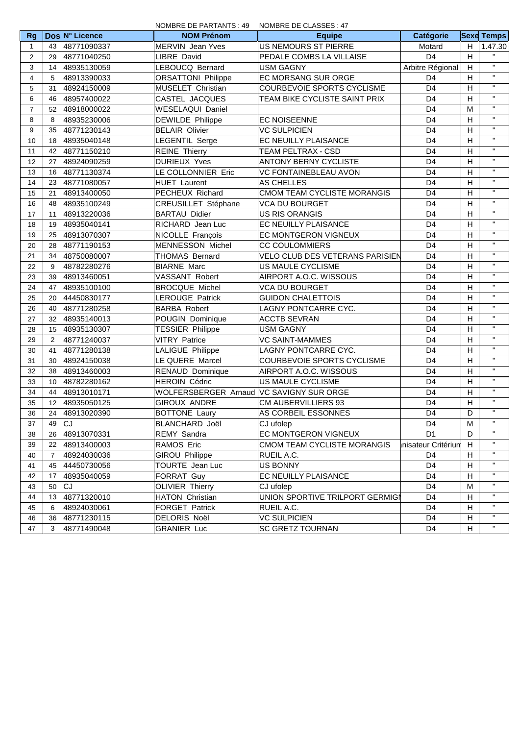|                |                |                | NOMBRE DE PARTANTS : 49                    | NOMBRE DE CLASSES : 47                |                    |   |                   |
|----------------|----------------|----------------|--------------------------------------------|---------------------------------------|--------------------|---|-------------------|
| <b>Rg</b>      |                | Dos N° Licence | <b>NOM Prénom</b>                          | <b>Equipe</b>                         | Catégorie          |   | <b>Sexe Temps</b> |
| 1              | 43             | 48771090337    | <b>MERVIN</b> Jean Yves                    | US NEMOURS ST PIERRE                  | Motard             | H | 1.47.30           |
| 2              | 29             | 48771040250    | <b>LIBRE David</b>                         | PEDALE COMBS LA VILLAISE              | D <sub>4</sub>     | H | $\mathbf{H}$      |
| 3              | 14             | 48935130059    | LEBOUCQ Bernard                            | <b>USM GAGNY</b>                      | Arbitre Régional   | H | $\mathbf{H}$      |
| $\overline{4}$ | 5              | 48913390033    | <b>ORSATTONI Philippe</b>                  | EC MORSANG SUR ORGE                   | D <sub>4</sub>     | Н | $\mathbf{H}$      |
| 5              | 31             | 48924150009    | MUSELET Christian                          | COURBEVOIE SPORTS CYCLISME            | D <sub>4</sub>     | H | $\mathbf{H}$      |
| 6              | 46             | 48957400022    | CASTEL JACQUES                             | TEAM BIKE CYCLISTE SAINT PRIX         | D <sub>4</sub>     | H | $\mathbf{H}$      |
| 7              | 52             | 48918000022    | <b>WESELAQUI Daniel</b>                    |                                       | D <sub>4</sub>     | M | $\mathbf{H}$      |
| 8              | 8              | 48935230006    | DEWILDE Philippe                           | <b>EC NOISEENNE</b>                   | D <sub>4</sub>     | H | $\mathbf{H}$      |
| 9              | 35             | 48771230143    | <b>BELAIR Olivier</b>                      | <b>VC SULPICIEN</b><br>D <sub>4</sub> |                    | H | $\mathbf{H}$      |
| 10             | 18             | 48935040148    | <b>LEGENTIL Serge</b>                      | EC NEUILLY PLAISANCE                  | D <sub>4</sub>     | H | $\mathbf{H}$      |
| 11             | 42             | 48771150210    | <b>REINE Thierry</b>                       | TEAM PELTRAX - CSD                    | D <sub>4</sub>     | H | $\mathbf{H}$      |
| 12             | 27             | 48924090259    | <b>DURIEUX Yves</b>                        | <b>ANTONY BERNY CYCLISTE</b>          | D <sub>4</sub>     | H | $\mathbf{H}$      |
| 13             | 16             | 48771130374    | LE COLLONNIER Eric                         | VC FONTAINEBLEAU AVON                 | D <sub>4</sub>     | H | $\mathbf{H}$      |
| 14             | 23             | 48771080057    | <b>HUET Laurent</b>                        | AS CHELLES                            | D <sub>4</sub>     | H | $\mathbf{H}$      |
| 15             | 21             | 48913400050    | PECHEUX Richard                            | CMOM TEAM CYCLISTE MORANGIS           | D <sub>4</sub>     | Н | $\mathbf{H}$      |
| 16             | 48             | 48935100249    | CREUSILLET Stéphane                        | <b>VCA DU BOURGET</b>                 | D <sub>4</sub>     | H | $\mathbf{H}$      |
| 17             | 11             | 48913220036    | <b>BARTAU Didier</b>                       | <b>US RIS ORANGIS</b>                 | D <sub>4</sub>     | H | $\mathbf{H}$      |
| 18             | 19             | 48935040141    | RICHARD Jean Luc                           | EC NEUILLY PLAISANCE                  | D <sub>4</sub>     | Н | $\mathbf{H}$      |
| 19             | 25             | 48913070307    | NICOLLE François                           | EC MONTGERON VIGNEUX                  | D <sub>4</sub>     | H | $\mathbf{H}$      |
| 20             | 28             | 48771190153    | <b>MENNESSON Michel</b>                    | <b>CC COULOMMIERS</b>                 | D <sub>4</sub>     | H | $\mathbf{H}$      |
| 21             | 34             | 48750080007    | <b>THOMAS Bernard</b>                      | VELO CLUB DES VETERANS PARISIEN       | D <sub>4</sub>     | H | $\mathbf{H}$      |
| 22             | 9              | 48782280276    | <b>BIARNE Marc</b>                         | US MAULE CYCLISME                     | D <sub>4</sub>     | H | $\mathbf{H}$      |
| 23             | 39             | 48913460051    | VASSANT Robert                             | AIRPORT A.O.C. WISSOUS                | D <sub>4</sub>     | Н | $\mathbf{H}$      |
| 24             | 47             | 48935100100    | <b>BROCQUE Michel</b>                      | <b>VCA DU BOURGET</b>                 | D <sub>4</sub>     | H | $\mathbf{H}$      |
| 25             | 20             | 44450830177    | <b>LEROUGE Patrick</b>                     | <b>GUIDON CHALETTOIS</b>              | D <sub>4</sub>     | H | $\mathbf{H}$      |
| 26             | 40             | 48771280258    | <b>BARBA Robert</b>                        | LAGNY PONTCARRE CYC.                  | D <sub>4</sub>     | Н | $\mathbf{H}$      |
| 27             | 32             | 48935140013    | POUGIN Dominique                           | <b>ACCTB SEVRAN</b>                   | D <sub>4</sub>     | H | $\mathbf{H}$      |
| 28             | 15             | 48935130307    | <b>TESSIER Philippe</b>                    | <b>USM GAGNY</b>                      | D <sub>4</sub>     | H | $\mathbf{H}$      |
| 29             | $\overline{2}$ | 48771240037    | <b>VITRY Patrice</b>                       | <b>VC SAINT-MAMMES</b>                | D <sub>4</sub>     | H | $\mathbf{H}$      |
| 30             | 41             | 48771280138    | LALIGUE Philippe                           | LAGNY PONTCARRE CYC.                  | D <sub>4</sub>     | H | $\mathbf{H}$      |
| 31             | 30             | 48924150038    | LE QUERE Marcel                            | COURBEVOIE SPORTS CYCLISME            | D <sub>4</sub>     | H | $\mathbf{H}$      |
| 32             | 38             | 48913460003    | RENAUD Dominique                           | AIRPORT A.O.C. WISSOUS                | D <sub>4</sub>     | H | $\mathbf{H}$      |
| 33             | 10             | 48782280162    | <b>HEROIN Cédric</b>                       | US MAULE CYCLISME                     | D <sub>4</sub>     | H | $\mathbf{H}$      |
| 34             | 44             | 48913010171    | WOLFERSBERGER Arnaud   VC SAVIGNY SUR ORGE |                                       | D <sub>4</sub>     | H | $\mathbf{H}$      |
| 35             | 12             | 48935050125    | <b>GIROUX ANDRE</b>                        | CM AUBERVILLIERS 93                   | D <sub>4</sub>     | H | $\mathbf{H}$      |
| 36             | 24             | 48913020390    | <b>BOTTONE Laury</b>                       | AS CORBEIL ESSONNES                   | D <sub>4</sub>     | D | $\mathbf{H}$      |
| 37             | 49             | ICJ.           | BLANCHARD Joël                             | CJ ufolep                             | D4                 | M | $\mathbf{H}$      |
| 38             | 26             | 48913070331    | REMY Sandra                                | EC MONTGERON VIGNEUX                  | D <sub>1</sub>     | D |                   |
| 39             | 22             | 48913400003    | RAMOS Eric                                 | CMOM TEAM CYCLISTE MORANGIS           | nisateur Critérium | H | $\mathbf{H}$      |
| 40             | $\overline{7}$ | 48924030036    | <b>GIROU Philippe</b>                      | RUEIL A.C.                            | D <sub>4</sub>     | Н |                   |
| 41             | 45             | 44450730056    | TOURTE Jean Luc                            | <b>US BONNY</b>                       | D <sub>4</sub>     | Н | $\mathbf{H}$      |
| 42             | 17             | 48935040059    | FORRAT Guy                                 | EC NEUILLY PLAISANCE                  | D <sub>4</sub>     | Н | $\mathbf{H}$      |
| 43             | 50             | CJ             | <b>OLIVIER Thierry</b>                     | CJ ufolep                             | D <sub>4</sub>     | M | $\mathbf{H}$      |
| 44             | 13             | 48771320010    | <b>HATON Christian</b>                     | UNION SPORTIVE TRILPORT GERMIGI       | D <sub>4</sub>     | H | $\mathbf{H}$      |
| 45             | 6              | 48924030061    | FORGET Patrick                             | RUEIL A.C.                            | D <sub>4</sub>     | Н | $\mathbf{H}$      |
| 46             | 36             | 48771230115    | DELORIS Noël                               | <b>VC SULPICIEN</b>                   | D <sub>4</sub>     | Н | $\mathbf{H}$      |
| 47             | 3              | 48771490048    | <b>GRANIER Luc</b>                         | <b>SC GRETZ TOURNAN</b>               | D <sub>4</sub>     | H | $\mathbf{H}$      |